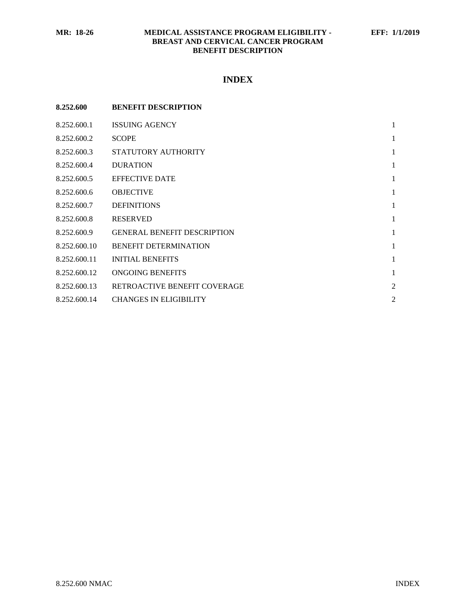# **MR: 18-26 MEDICAL ASSISTANCE PROGRAM ELIGIBILITY - EFF: 1/1/2019 BREAST AND CERVICAL CANCER PROGRAM BENEFIT DESCRIPTION**

# **INDEX**

| 8.252.600    | <b>BENEFIT DESCRIPTION</b>         |                |
|--------------|------------------------------------|----------------|
| 8.252.600.1  | <b>ISSUING AGENCY</b>              | $\mathbf{1}$   |
| 8.252.600.2  | <b>SCOPE</b>                       | $\mathbf{1}$   |
| 8.252.600.3  | STATUTORY AUTHORITY                | $\mathbf{1}$   |
| 8.252.600.4  | <b>DURATION</b>                    | $\mathbf{1}$   |
| 8.252.600.5  | <b>EFFECTIVE DATE</b>              | $\mathbf{1}$   |
| 8.252.600.6  | <b>OBJECTIVE</b>                   | 1              |
| 8.252.600.7  | <b>DEFINITIONS</b>                 | $\mathbf{1}$   |
| 8.252.600.8  | <b>RESERVED</b>                    | $\mathbf{1}$   |
| 8.252.600.9  | <b>GENERAL BENEFIT DESCRIPTION</b> | $\mathbf{1}$   |
| 8.252.600.10 | <b>BENEFIT DETERMINATION</b>       | 1              |
| 8.252.600.11 | <b>INITIAL BENEFITS</b>            | $\mathbf{1}$   |
| 8.252.600.12 | ONGOING BENEFITS                   | $\mathbf{1}$   |
| 8.252.600.13 | RETROACTIVE BENEFIT COVERAGE       | $\overline{2}$ |
| 8.252.600.14 | <b>CHANGES IN ELIGIBILITY</b>      | $\overline{2}$ |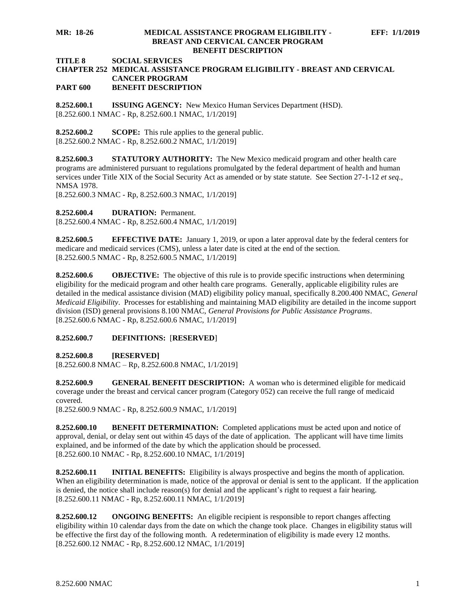#### **MR: 18-26 MEDICAL ASSISTANCE PROGRAM ELIGIBILITY - EFF: 1/1/2019 BREAST AND CERVICAL CANCER PROGRAM BENEFIT DESCRIPTION**

# **TITLE 8 SOCIAL SERVICES**

#### **CHAPTER 252 MEDICAL ASSISTANCE PROGRAM ELIGIBILITY - BREAST AND CERVICAL CANCER PROGRAM PART 600 BENEFIT DESCRIPTION**

<span id="page-1-0"></span>**8.252.600.1 ISSUING AGENCY:** New Mexico Human Services Department (HSD). [8.252.600.1 NMAC - Rp, 8.252.600.1 NMAC, 1/1/2019]

<span id="page-1-1"></span>**8.252.600.2 SCOPE:** This rule applies to the general public. [8.252.600.2 NMAC - Rp, 8.252.600.2 NMAC, 1/1/2019]

<span id="page-1-2"></span>**8.252.600.3 STATUTORY AUTHORITY:** The New Mexico medicaid program and other health care programs are administered pursuant to regulations promulgated by the federal department of health and human services under Title XIX of the Social Security Act as amended or by state statute. See Section 27-1-12 *et seq*., NMSA 1978.

[8.252.600.3 NMAC - Rp, 8.252.600.3 NMAC, 1/1/2019]

<span id="page-1-3"></span>**8.252.600.4 DURATION:** Permanent.

[8.252.600.4 NMAC - Rp, 8.252.600.4 NMAC, 1/1/2019]

<span id="page-1-4"></span>**8.252.600.5 EFFECTIVE DATE:** January 1, 2019, or upon a later approval date by the federal centers for medicare and medicaid services (CMS), unless a later date is cited at the end of the section. [8.252.600.5 NMAC - Rp, 8.252.600.5 NMAC, 1/1/2019]

<span id="page-1-5"></span>**8.252.600.6 OBJECTIVE:** The objective of this rule is to provide specific instructions when determining eligibility for the medicaid program and other health care programs. Generally, applicable eligibility rules are detailed in the medical assistance division (MAD) eligibility policy manual, specifically 8.200.400 NMAC, *General Medicaid Eligibility*. Processes for establishing and maintaining MAD eligibility are detailed in the income support division (ISD) general provisions 8.100 NMAC, *General Provisions for Public Assistance Programs*. [8.252.600.6 NMAC - Rp, 8.252.600.6 NMAC, 1/1/2019]

#### <span id="page-1-6"></span>**8.252.600.7 DEFINITIONS:** [**RESERVED**]

<span id="page-1-7"></span>**8.252.600.8 [RESERVED]**

 $[8.252.600.8 \text{ NMAC} - \text{Rp}, 8.252.600.8 \text{ NMAC}, 1/1/2019]$ 

<span id="page-1-8"></span>**8.252.600.9 GENERAL BENEFIT DESCRIPTION:** A woman who is determined eligible for medicaid coverage under the breast and cervical cancer program (Category 052) can receive the full range of medicaid covered.

[8.252.600.9 NMAC - Rp, 8.252.600.9 NMAC, 1/1/2019]

<span id="page-1-9"></span>**8.252.600.10 BENEFIT DETERMINATION:** Completed applications must be acted upon and notice of approval, denial, or delay sent out within 45 days of the date of application. The applicant will have time limits explained, and be informed of the date by which the application should be processed. [8.252.600.10 NMAC - Rp, 8.252.600.10 NMAC, 1/1/2019]

<span id="page-1-10"></span>**8.252.600.11 INITIAL BENEFITS:** Eligibility is always prospective and begins the month of application. When an eligibility determination is made, notice of the approval or denial is sent to the applicant. If the application is denied, the notice shall include reason(s) for denial and the applicant's right to request a fair hearing. [8.252.600.11 NMAC - Rp, 8.252.600.11 NMAC, 1/1/2019]

<span id="page-1-11"></span>**8.252.600.12 ONGOING BENEFITS:** An eligible recipient is responsible to report changes affecting eligibility within 10 calendar days from the date on which the change took place. Changes in eligibility status will be effective the first day of the following month. A redetermination of eligibility is made every 12 months. [8.252.600.12 NMAC - Rp, 8.252.600.12 NMAC, 1/1/2019]